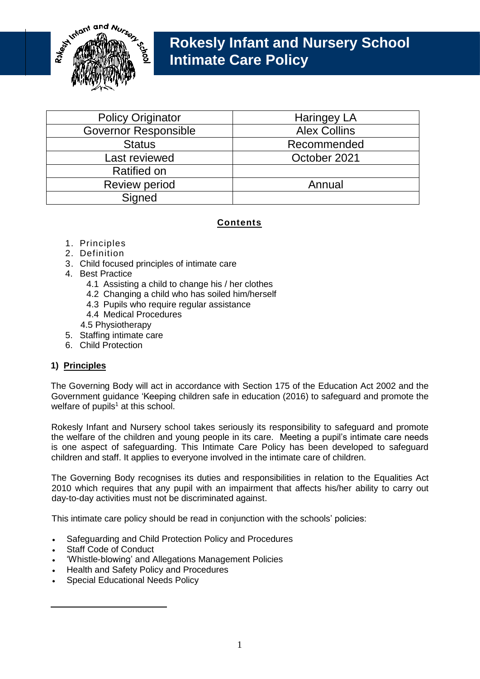

# **Rokesly Infant and Nursery School Intimate Care Policy**

| <b>Policy Originator</b>    | <b>Haringey LA</b>  |
|-----------------------------|---------------------|
| <b>Governor Responsible</b> | <b>Alex Collins</b> |
| <b>Status</b>               | Recommended         |
| Last reviewed               | October 2021        |
| <b>Ratified on</b>          |                     |
| <b>Review period</b>        | Annual              |
| Signed                      |                     |

# **Contents**

- 1. Principles
- 2. Definition
- 3. Child focused principles of intimate care
- 4. Best Practice
	- 4.1 Assisting a child to change his / her clothes
	- 4.2 Changing a child who has soiled him/herself
	- 4.3 Pupils who require regular assistance
	- 4.4 Medical Procedures
	- 4.5 Physiotherapy
- 5. Staffing intimate care
- 6. Child Protection

# **1) Principles**

The Governing Body will act in accordance with Section 175 of the Education Act 2002 and the Government guidance 'Keeping children safe in education (2016) to safeguard and promote the welfare of pupils<sup>1</sup> at this school.

Rokesly Infant and Nursery school takes seriously its responsibility to safeguard and promote the welfare of the children and young people in its care. Meeting a pupil's intimate care needs is one aspect of safeguarding. This Intimate Care Policy has been developed to safeguard children and staff. It applies to everyone involved in the intimate care of children.

The Governing Body recognises its duties and responsibilities in relation to the Equalities Act 2010 which requires that any pupil with an impairment that affects his/her ability to carry out day-to-day activities must not be discriminated against.

This intimate care policy should be read in conjunction with the schools' policies:

- Safeguarding and Child Protection Policy and Procedures
- Staff Code of Conduct

1

- 'Whistle-blowing' and Allegations Management Policies
- Health and Safety Policy and Procedures
- Special Educational Needs Policy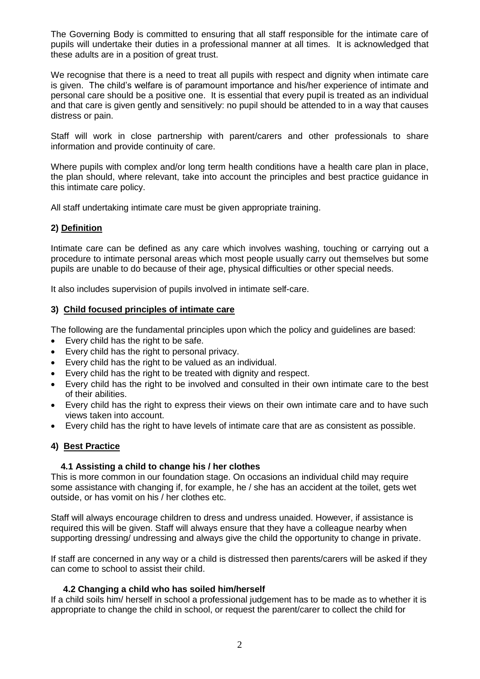The Governing Body is committed to ensuring that all staff responsible for the intimate care of pupils will undertake their duties in a professional manner at all times. It is acknowledged that these adults are in a position of great trust.

We recognise that there is a need to treat all pupils with respect and dignity when intimate care is given. The child's welfare is of paramount importance and his/her experience of intimate and personal care should be a positive one. It is essential that every pupil is treated as an individual and that care is given gently and sensitively: no pupil should be attended to in a way that causes distress or pain.

Staff will work in close partnership with parent/carers and other professionals to share information and provide continuity of care.

Where pupils with complex and/or long term health conditions have a health care plan in place, the plan should, where relevant, take into account the principles and best practice guidance in this intimate care policy.

All staff undertaking intimate care must be given appropriate training.

## **2) Definition**

Intimate care can be defined as any care which involves washing, touching or carrying out a procedure to intimate personal areas which most people usually carry out themselves but some pupils are unable to do because of their age, physical difficulties or other special needs.

It also includes supervision of pupils involved in intimate self-care.

#### **3) Child focused principles of intimate care**

The following are the fundamental principles upon which the policy and guidelines are based:

- Every child has the right to be safe.
- Every child has the right to personal privacy.
- Every child has the right to be valued as an individual.
- Every child has the right to be treated with dignity and respect.
- Every child has the right to be involved and consulted in their own intimate care to the best of their abilities.
- Every child has the right to express their views on their own intimate care and to have such views taken into account.
- Every child has the right to have levels of intimate care that are as consistent as possible.

## **4) Best Practice**

#### **4.1 Assisting a child to change his / her clothes**

This is more common in our foundation stage. On occasions an individual child may require some assistance with changing if, for example, he / she has an accident at the toilet, gets wet outside, or has vomit on his / her clothes etc.

Staff will always encourage children to dress and undress unaided. However, if assistance is required this will be given. Staff will always ensure that they have a colleague nearby when supporting dressing/ undressing and always give the child the opportunity to change in private.

If staff are concerned in any way or a child is distressed then parents/carers will be asked if they can come to school to assist their child.

#### **4.2 Changing a child who has soiled him/herself**

If a child soils him/ herself in school a professional judgement has to be made as to whether it is appropriate to change the child in school, or request the parent/carer to collect the child for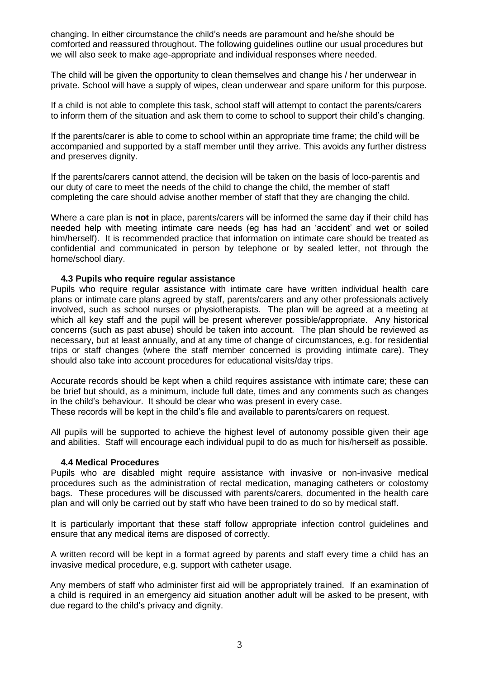changing. In either circumstance the child's needs are paramount and he/she should be comforted and reassured throughout. The following guidelines outline our usual procedures but we will also seek to make age-appropriate and individual responses where needed.

The child will be given the opportunity to clean themselves and change his / her underwear in private. School will have a supply of wipes, clean underwear and spare uniform for this purpose.

If a child is not able to complete this task, school staff will attempt to contact the parents/carers to inform them of the situation and ask them to come to school to support their child's changing.

If the parents/carer is able to come to school within an appropriate time frame; the child will be accompanied and supported by a staff member until they arrive. This avoids any further distress and preserves dignity.

If the parents/carers cannot attend, the decision will be taken on the basis of loco-parentis and our duty of care to meet the needs of the child to change the child, the member of staff completing the care should advise another member of staff that they are changing the child.

Where a care plan is **not** in place, parents/carers will be informed the same day if their child has needed help with meeting intimate care needs (eg has had an 'accident' and wet or soiled him/herself). It is recommended practice that information on intimate care should be treated as confidential and communicated in person by telephone or by sealed letter, not through the home/school diary.

#### **4.3 Pupils who require regular assistance**

Pupils who require regular assistance with intimate care have written individual health care plans or intimate care plans agreed by staff, parents/carers and any other professionals actively involved, such as school nurses or physiotherapists. The plan will be agreed at a meeting at which all key staff and the pupil will be present wherever possible/appropriate. Any historical concerns (such as past abuse) should be taken into account. The plan should be reviewed as necessary, but at least annually, and at any time of change of circumstances, e.g. for residential trips or staff changes (where the staff member concerned is providing intimate care). They should also take into account procedures for educational visits/day trips.

Accurate records should be kept when a child requires assistance with intimate care; these can be brief but should, as a minimum, include full date, times and any comments such as changes in the child's behaviour. It should be clear who was present in every case. These records will be kept in the child's file and available to parents/carers on request.

All pupils will be supported to achieve the highest level of autonomy possible given their age and abilities. Staff will encourage each individual pupil to do as much for his/herself as possible.

#### **4.4 Medical Procedures**

Pupils who are disabled might require assistance with invasive or non-invasive medical procedures such as the administration of rectal medication, managing catheters or colostomy bags. These procedures will be discussed with parents/carers, documented in the health care plan and will only be carried out by staff who have been trained to do so by medical staff.

It is particularly important that these staff follow appropriate infection control guidelines and ensure that any medical items are disposed of correctly.

A written record will be kept in a format agreed by parents and staff every time a child has an invasive medical procedure, e.g. support with catheter usage.

Any members of staff who administer first aid will be appropriately trained. If an examination of a child is required in an emergency aid situation another adult will be asked to be present, with due regard to the child's privacy and dignity.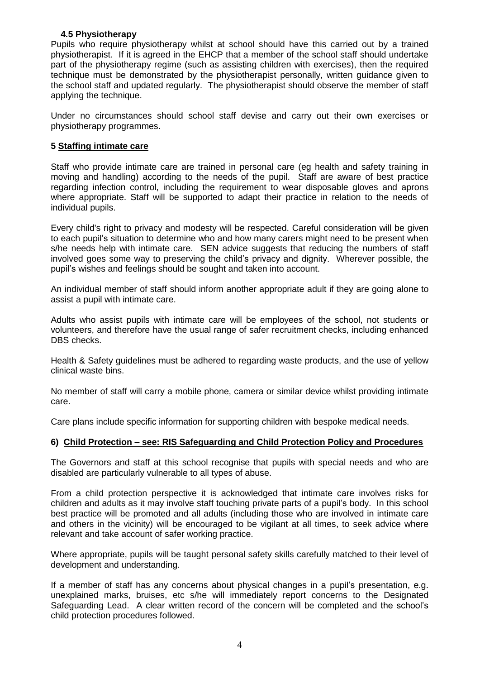# **4.5 Physiotherapy**

Pupils who require physiotherapy whilst at school should have this carried out by a trained physiotherapist. If it is agreed in the EHCP that a member of the school staff should undertake part of the physiotherapy regime (such as assisting children with exercises), then the required technique must be demonstrated by the physiotherapist personally, written guidance given to the school staff and updated regularly. The physiotherapist should observe the member of staff applying the technique.

Under no circumstances should school staff devise and carry out their own exercises or physiotherapy programmes.

# **5 Staffing intimate care**

Staff who provide intimate care are trained in personal care (eg health and safety training in moving and handling) according to the needs of the pupil. Staff are aware of best practice regarding infection control, including the requirement to wear disposable gloves and aprons where appropriate. Staff will be supported to adapt their practice in relation to the needs of individual pupils.

Every child's right to privacy and modesty will be respected. Careful consideration will be given to each pupil's situation to determine who and how many carers might need to be present when s/he needs help with intimate care. SEN advice suggests that reducing the numbers of staff involved goes some way to preserving the child's privacy and dignity. Wherever possible, the pupil's wishes and feelings should be sought and taken into account.

An individual member of staff should inform another appropriate adult if they are going alone to assist a pupil with intimate care.

Adults who assist pupils with intimate care will be employees of the school, not students or volunteers, and therefore have the usual range of safer recruitment checks, including enhanced DBS checks.

Health & Safety guidelines must be adhered to regarding waste products, and the use of yellow clinical waste bins.

No member of staff will carry a mobile phone, camera or similar device whilst providing intimate care.

Care plans include specific information for supporting children with bespoke medical needs.

## **6) Child Protection – see: RIS Safeguarding and Child Protection Policy and Procedures**

The Governors and staff at this school recognise that pupils with special needs and who are disabled are particularly vulnerable to all types of abuse.

From a child protection perspective it is acknowledged that intimate care involves risks for children and adults as it may involve staff touching private parts of a pupil's body. In this school best practice will be promoted and all adults (including those who are involved in intimate care and others in the vicinity) will be encouraged to be vigilant at all times, to seek advice where relevant and take account of safer working practice.

Where appropriate, pupils will be taught personal safety skills carefully matched to their level of development and understanding.

If a member of staff has any concerns about physical changes in a pupil's presentation, e.g. unexplained marks, bruises, etc s/he will immediately report concerns to the Designated Safeguarding Lead. A clear written record of the concern will be completed and the school's child protection procedures followed.